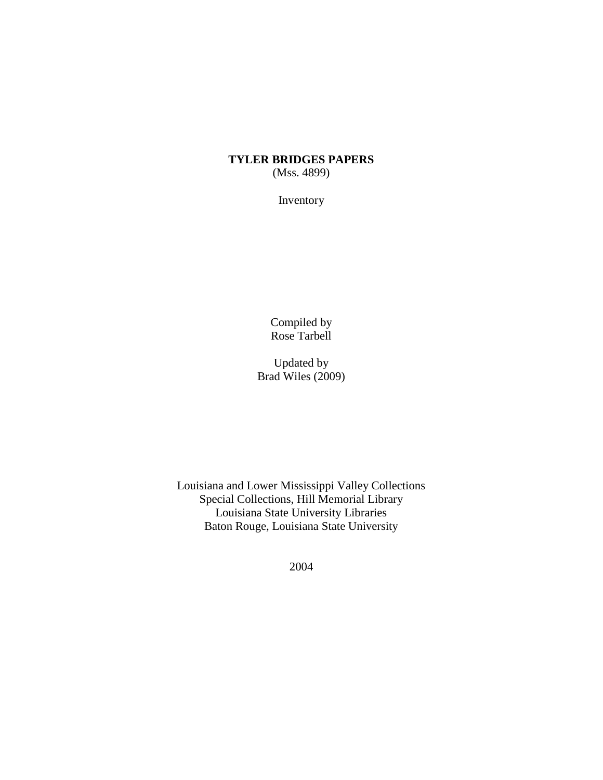## **TYLER BRIDGES PAPERS** (Mss. 4899)

Inventory

Compiled by Rose Tarbell

Updated by Brad Wiles (2009)

Louisiana and Lower Mississippi Valley Collections Special Collections, Hill Memorial Library Louisiana State University Libraries Baton Rouge, Louisiana State University

2004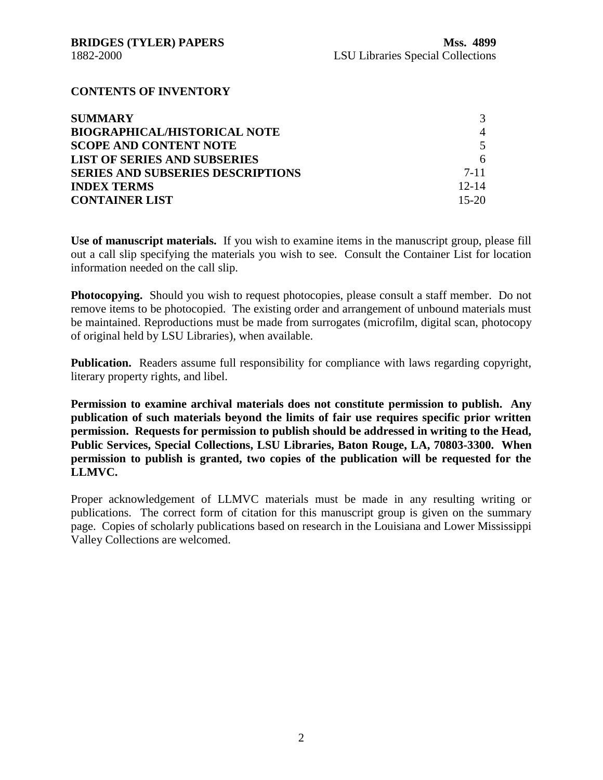## **CONTENTS OF INVENTORY**

| <b>SUMMARY</b>                           |                |
|------------------------------------------|----------------|
| <b>BIOGRAPHICAL/HISTORICAL NOTE</b>      | $\overline{4}$ |
| <b>SCOPE AND CONTENT NOTE</b>            | 5              |
| <b>LIST OF SERIES AND SUBSERIES</b>      | 6              |
| <b>SERIES AND SUBSERIES DESCRIPTIONS</b> | $7 - 11$       |
| <b>INDEX TERMS</b>                       | $12 - 14$      |
| <b>CONTAINER LIST</b>                    | $15-20$        |

**Use of manuscript materials.** If you wish to examine items in the manuscript group, please fill out a call slip specifying the materials you wish to see. Consult the Container List for location information needed on the call slip.

**Photocopying.** Should you wish to request photocopies, please consult a staff member. Do not remove items to be photocopied. The existing order and arrangement of unbound materials must be maintained. Reproductions must be made from surrogates (microfilm, digital scan, photocopy of original held by LSU Libraries), when available.

**Publication.** Readers assume full responsibility for compliance with laws regarding copyright, literary property rights, and libel.

**Permission to examine archival materials does not constitute permission to publish. Any publication of such materials beyond the limits of fair use requires specific prior written permission. Requests for permission to publish should be addressed in writing to the Head, Public Services, Special Collections, LSU Libraries, Baton Rouge, LA, 70803-3300. When permission to publish is granted, two copies of the publication will be requested for the LLMVC.**

Proper acknowledgement of LLMVC materials must be made in any resulting writing or publications. The correct form of citation for this manuscript group is given on the summary page. Copies of scholarly publications based on research in the Louisiana and Lower Mississippi Valley Collections are welcomed.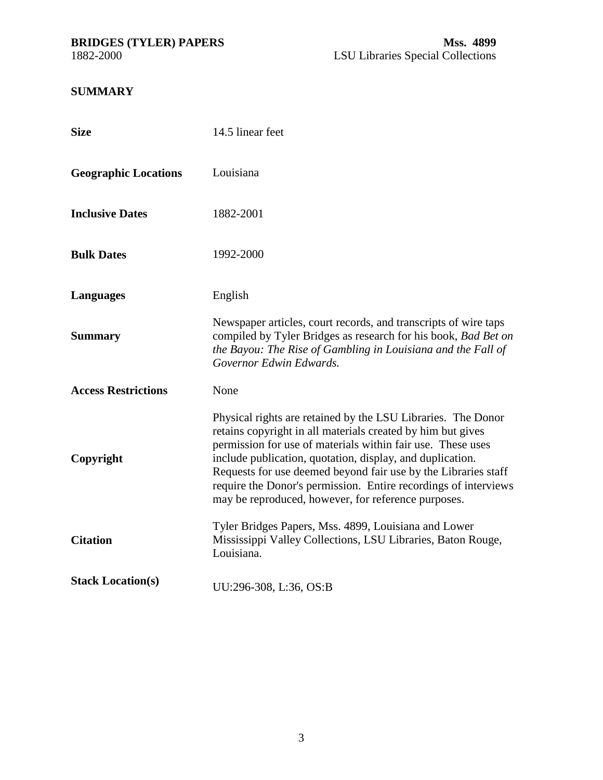## <span id="page-2-0"></span>**SUMMARY**

| <b>Size</b>                 | 14.5 linear feet                                                                                                                                                                                                                                                                                                                                                                                                                                    |
|-----------------------------|-----------------------------------------------------------------------------------------------------------------------------------------------------------------------------------------------------------------------------------------------------------------------------------------------------------------------------------------------------------------------------------------------------------------------------------------------------|
| <b>Geographic Locations</b> | Louisiana                                                                                                                                                                                                                                                                                                                                                                                                                                           |
| <b>Inclusive Dates</b>      | 1882-2001                                                                                                                                                                                                                                                                                                                                                                                                                                           |
| <b>Bulk Dates</b>           | 1992-2000                                                                                                                                                                                                                                                                                                                                                                                                                                           |
| <b>Languages</b>            | English                                                                                                                                                                                                                                                                                                                                                                                                                                             |
| <b>Summary</b>              | Newspaper articles, court records, and transcripts of wire taps<br>compiled by Tyler Bridges as research for his book, Bad Bet on<br>the Bayou: The Rise of Gambling in Louisiana and the Fall of<br>Governor Edwin Edwards.                                                                                                                                                                                                                        |
| <b>Access Restrictions</b>  | None                                                                                                                                                                                                                                                                                                                                                                                                                                                |
| Copyright                   | Physical rights are retained by the LSU Libraries. The Donor<br>retains copyright in all materials created by him but gives<br>permission for use of materials within fair use. These uses<br>include publication, quotation, display, and duplication.<br>Requests for use deemed beyond fair use by the Libraries staff<br>require the Donor's permission. Entire recordings of interviews<br>may be reproduced, however, for reference purposes. |
| <b>Citation</b>             | Tyler Bridges Papers, Mss. 4899, Louisiana and Lower<br>Mississippi Valley Collections, LSU Libraries, Baton Rouge,<br>Louisiana.                                                                                                                                                                                                                                                                                                                   |
| <b>Stack Location(s)</b>    | UU:296-308, L:36, OS:B                                                                                                                                                                                                                                                                                                                                                                                                                              |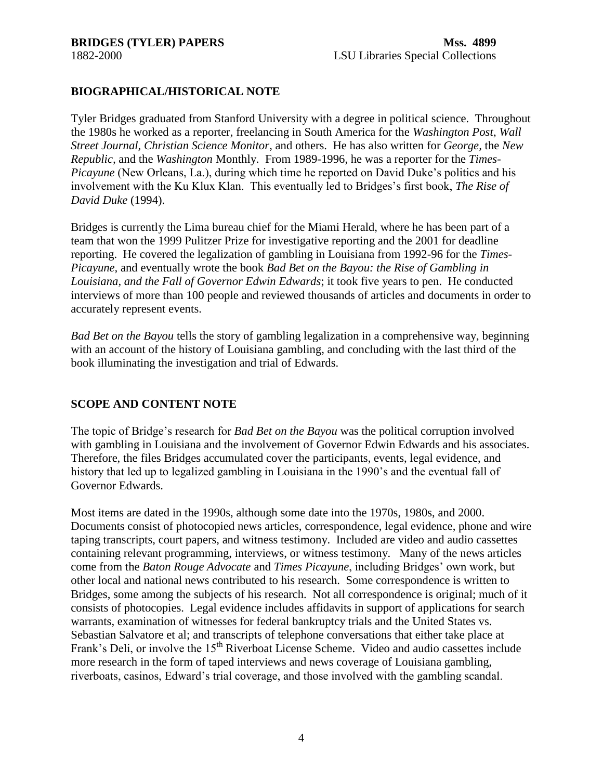## <span id="page-3-0"></span>**BIOGRAPHICAL/HISTORICAL NOTE**

Tyler Bridges graduated from Stanford University with a degree in political science. Throughout the 1980s he worked as a reporter, freelancing in South America for the *Washington Post*, *Wall Street Journal, Christian Science Monitor*, and others. He has also written for *George,* the *New Republic,* and the *Washington* Monthly. From 1989-1996, he was a reporter for the *Times-Picayune* (New Orleans, La.), during which time he reported on David Duke's politics and his involvement with the Ku Klux Klan. This eventually led to Bridges's first book, *The Rise of David Duke* (1994).

Bridges is currently the Lima bureau chief for the Miami Herald, where he has been part of a team that won the 1999 Pulitzer Prize for investigative reporting and the 2001 for deadline reporting. He covered the legalization of gambling in Louisiana from 1992-96 for the *Times-Picayune,* and eventually wrote the book *Bad Bet on the Bayou: the Rise of Gambling in Louisiana, and the Fall of Governor Edwin Edwards*; it took five years to pen. He conducted interviews of more than 100 people and reviewed thousands of articles and documents in order to accurately represent events.

*Bad Bet on the Bayou* tells the story of gambling legalization in a comprehensive way, beginning with an account of the history of Louisiana gambling, and concluding with the last third of the book illuminating the investigation and trial of Edwards.

## **SCOPE AND CONTENT NOTE**

The topic of Bridge's research for *Bad Bet on the Bayou* was the political corruption involved with gambling in Louisiana and the involvement of Governor Edwin Edwards and his associates. Therefore, the files Bridges accumulated cover the participants, events, legal evidence, and history that led up to legalized gambling in Louisiana in the 1990's and the eventual fall of Governor Edwards.

Most items are dated in the 1990s, although some date into the 1970s, 1980s, and 2000. Documents consist of photocopied news articles, correspondence, legal evidence, phone and wire taping transcripts, court papers, and witness testimony. Included are video and audio cassettes containing relevant programming, interviews, or witness testimony. Many of the news articles come from the *Baton Rouge Advocate* and *Times Picayune*, including Bridges' own work, but other local and national news contributed to his research. Some correspondence is written to Bridges, some among the subjects of his research. Not all correspondence is original; much of it consists of photocopies. Legal evidence includes affidavits in support of applications for search warrants, examination of witnesses for federal bankruptcy trials and the United States vs. Sebastian Salvatore et al; and transcripts of telephone conversations that either take place at Frank's Deli, or involve the 15<sup>th</sup> Riverboat License Scheme. Video and audio cassettes include more research in the form of taped interviews and news coverage of Louisiana gambling, riverboats, casinos, Edward's trial coverage, and those involved with the gambling scandal.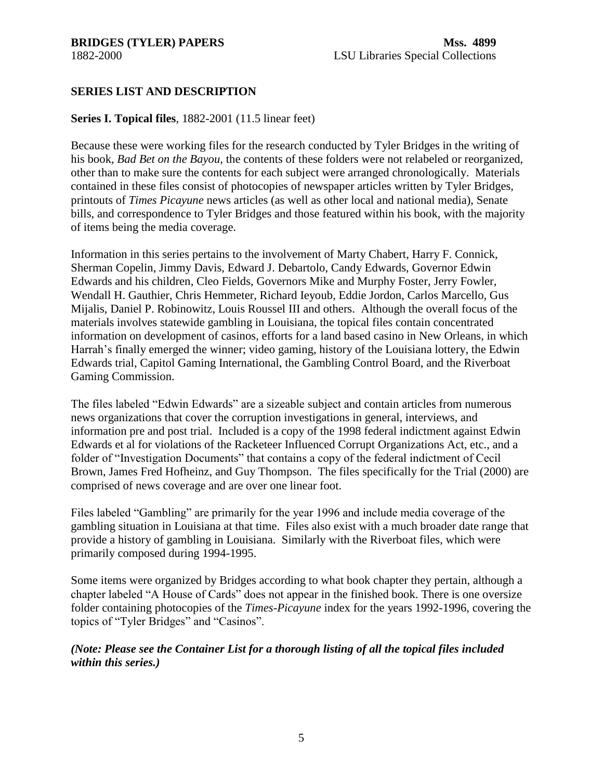<span id="page-4-0"></span>

## **SERIES LIST AND DESCRIPTION**

## **Series I. Topical files**, 1882-2001 (11.5 linear feet)

Because these were working files for the research conducted by Tyler Bridges in the writing of his book, *Bad Bet on the Bayou,* the contents of these folders were not relabeled or reorganized, other than to make sure the contents for each subject were arranged chronologically. Materials contained in these files consist of photocopies of newspaper articles written by Tyler Bridges, printouts of *Times Picayune* news articles (as well as other local and national media), Senate bills, and correspondence to Tyler Bridges and those featured within his book, with the majority of items being the media coverage.

Information in this series pertains to the involvement of Marty Chabert, Harry F. Connick, Sherman Copelin, Jimmy Davis, Edward J. Debartolo, Candy Edwards, Governor Edwin Edwards and his children, Cleo Fields, Governors Mike and Murphy Foster, Jerry Fowler, Wendall H. Gauthier, Chris Hemmeter, Richard Ieyoub, Eddie Jordon, Carlos Marcello, Gus Mijalis, Daniel P. Robinowitz, Louis Roussel III and others. Although the overall focus of the materials involves statewide gambling in Louisiana, the topical files contain concentrated information on development of casinos, efforts for a land based casino in New Orleans, in which Harrah's finally emerged the winner; video gaming, history of the Louisiana lottery, the Edwin Edwards trial, Capitol Gaming International, the Gambling Control Board, and the Riverboat Gaming Commission.

The files labeled "Edwin Edwards" are a sizeable subject and contain articles from numerous news organizations that cover the corruption investigations in general, interviews, and information pre and post trial. Included is a copy of the 1998 federal indictment against Edwin Edwards et al for violations of the Racketeer Influenced Corrupt Organizations Act, etc., and a folder of "Investigation Documents" that contains a copy of the federal indictment of Cecil Brown, James Fred Hofheinz, and Guy Thompson. The files specifically for the Trial (2000) are comprised of news coverage and are over one linear foot.

Files labeled "Gambling" are primarily for the year 1996 and include media coverage of the gambling situation in Louisiana at that time. Files also exist with a much broader date range that provide a history of gambling in Louisiana. Similarly with the Riverboat files, which were primarily composed during 1994-1995.

Some items were organized by Bridges according to what book chapter they pertain, although a chapter labeled "A House of Cards" does not appear in the finished book. There is one oversize folder containing photocopies of the *Times-Picayune* index for the years 1992-1996, covering the topics of "Tyler Bridges" and "Casinos".

## *(Note: Please see the Container List for a thorough listing of all the topical files included within this series.)*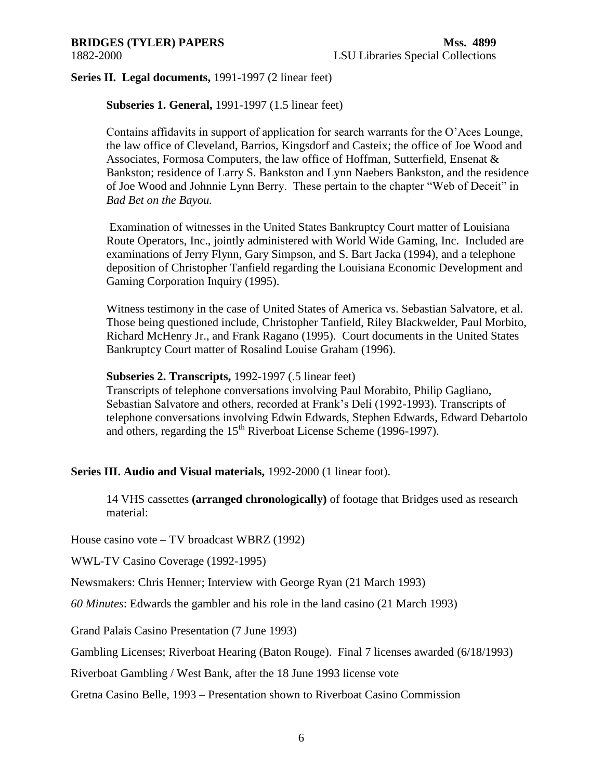**Series II. Legal documents,** 1991-1997 (2 linear feet)

**Subseries 1. General,** 1991-1997 (1.5 linear feet)

Contains affidavits in support of application for search warrants for the O'Aces Lounge, the law office of Cleveland, Barrios, Kingsdorf and Casteix; the office of Joe Wood and Associates, Formosa Computers, the law office of Hoffman, Sutterfield, Ensenat & Bankston; residence of Larry S. Bankston and Lynn Naebers Bankston, and the residence of Joe Wood and Johnnie Lynn Berry. These pertain to the chapter "Web of Deceit" in *Bad Bet on the Bayou.*

Examination of witnesses in the United States Bankruptcy Court matter of Louisiana Route Operators, Inc., jointly administered with World Wide Gaming, Inc. Included are examinations of Jerry Flynn, Gary Simpson, and S. Bart Jacka (1994), and a telephone deposition of Christopher Tanfield regarding the Louisiana Economic Development and Gaming Corporation Inquiry (1995).

Witness testimony in the case of United States of America vs. Sebastian Salvatore, et al. Those being questioned include, Christopher Tanfield, Riley Blackwelder, Paul Morbito, Richard McHenry Jr., and Frank Ragano (1995). Court documents in the United States Bankruptcy Court matter of Rosalind Louise Graham (1996).

## **Subseries 2. Transcripts,** 1992-1997 (.5 linear feet)

Transcripts of telephone conversations involving Paul Morabito, Philip Gagliano, Sebastian Salvatore and others, recorded at Frank's Deli (1992-1993). Transcripts of telephone conversations involving Edwin Edwards, Stephen Edwards, Edward Debartolo and others, regarding the  $15<sup>th</sup>$  Riverboat License Scheme (1996-1997).

**Series III. Audio and Visual materials,** 1992-2000 (1 linear foot).

14 VHS cassettes **(arranged chronologically)** of footage that Bridges used as research material:

House casino vote – TV broadcast WBRZ (1992)

WWL-TV Casino Coverage (1992-1995)

Newsmakers: Chris Henner; Interview with George Ryan (21 March 1993)

*60 Minutes*: Edwards the gambler and his role in the land casino (21 March 1993)

Grand Palais Casino Presentation (7 June 1993)

Gambling Licenses; Riverboat Hearing (Baton Rouge). Final 7 licenses awarded (6/18/1993)

Riverboat Gambling / West Bank, after the 18 June 1993 license vote

Gretna Casino Belle, 1993 – Presentation shown to Riverboat Casino Commission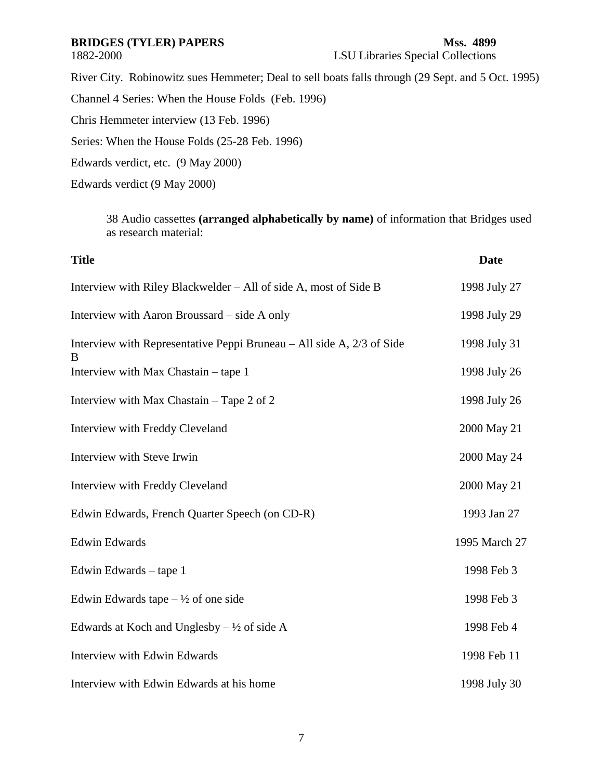## **BRIDGES (TYLER) PAPERS Mss. 4899**

# 1882-2000 LSU Libraries Special Collections

River City. Robinowitz sues Hemmeter; Deal to sell boats falls through (29 Sept. and 5 Oct. 1995)

Channel 4 Series: When the House Folds (Feb. 1996)

Chris Hemmeter interview (13 Feb. 1996)

Series: When the House Folds (25-28 Feb. 1996)

Edwards verdict, etc. (9 May 2000)

Edwards verdict (9 May 2000)

38 Audio cassettes **(arranged alphabetically by name)** of information that Bridges used as research material:

| <b>Title</b>                                                               | <b>Date</b>   |
|----------------------------------------------------------------------------|---------------|
| Interview with Riley Blackwelder – All of side A, most of Side B           | 1998 July 27  |
| Interview with Aaron Broussard – side A only                               | 1998 July 29  |
| Interview with Representative Peppi Bruneau – All side A, 2/3 of Side<br>B | 1998 July 31  |
| Interview with Max Chastain – tape 1                                       | 1998 July 26  |
| Interview with Max Chastain - Tape 2 of 2                                  | 1998 July 26  |
| Interview with Freddy Cleveland                                            | 2000 May 21   |
| Interview with Steve Irwin                                                 | 2000 May 24   |
| Interview with Freddy Cleveland                                            | 2000 May 21   |
| Edwin Edwards, French Quarter Speech (on CD-R)                             | 1993 Jan 27   |
| <b>Edwin Edwards</b>                                                       | 1995 March 27 |
| Edwin Edwards – tape 1                                                     | 1998 Feb 3    |
| Edwin Edwards tape $-\frac{1}{2}$ of one side                              | 1998 Feb 3    |
| Edwards at Koch and Unglesby $-\frac{1}{2}$ of side A                      | 1998 Feb 4    |
| Interview with Edwin Edwards                                               | 1998 Feb 11   |
| Interview with Edwin Edwards at his home                                   | 1998 July 30  |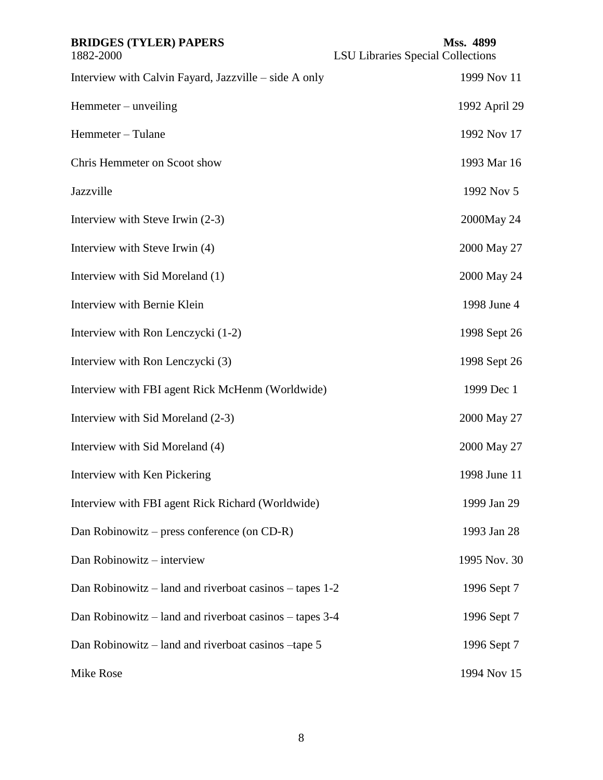| <b>BRIDGES (TYLER) PAPERS</b><br>1882-2000              | Mss. 4899<br><b>LSU Libraries Special Collections</b> |
|---------------------------------------------------------|-------------------------------------------------------|
| Interview with Calvin Fayard, Jazzville – side A only   | 1999 Nov 11                                           |
| Hemmeter – unveiling                                    | 1992 April 29                                         |
| Hemmeter - Tulane                                       | 1992 Nov 17                                           |
| Chris Hemmeter on Scoot show                            | 1993 Mar 16                                           |
| Jazzville                                               | 1992 Nov 5                                            |
| Interview with Steve Irwin (2-3)                        | 2000May 24                                            |
| Interview with Steve Irwin (4)                          | 2000 May 27                                           |
| Interview with Sid Moreland (1)                         | 2000 May 24                                           |
| Interview with Bernie Klein                             | 1998 June 4                                           |
| Interview with Ron Lenczycki (1-2)                      | 1998 Sept 26                                          |
| Interview with Ron Lenczycki (3)                        | 1998 Sept 26                                          |
| Interview with FBI agent Rick McHenm (Worldwide)        | 1999 Dec 1                                            |
| Interview with Sid Moreland (2-3)                       | 2000 May 27                                           |
| Interview with Sid Moreland (4)                         | 2000 May 27                                           |
| Interview with Ken Pickering                            | 1998 June 11                                          |
| Interview with FBI agent Rick Richard (Worldwide)       | 1999 Jan 29                                           |
| Dan Robinowitz – press conference (on CD-R)             | 1993 Jan 28                                           |
| Dan Robinowitz - interview                              | 1995 Nov. 30                                          |
| Dan Robinowitz – land and riverboat casinos – tapes 1-2 | 1996 Sept 7                                           |
| Dan Robinowitz – land and riverboat casinos – tapes 3-4 | 1996 Sept 7                                           |
| Dan Robinowitz – land and riverboat casinos – tape 5    | 1996 Sept 7                                           |
| Mike Rose                                               | 1994 Nov 15                                           |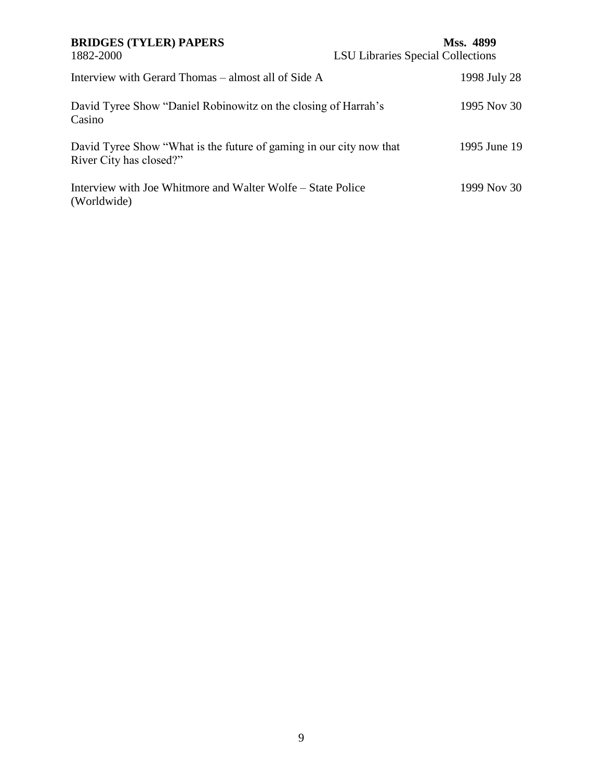## **BRIDGES (TYLER) PAPERS Mss. 4899** 1882-2000 LSU Libraries Special Collections Interview with Gerard Thomas – almost all of Side A 1998 July 28 David Tyree Show "Daniel Robinowitz on the closing of Harrah's Casino 1995 Nov 30 David Tyree Show "What is the future of gaming in our city now that River City has closed?" 1995 June 19 Interview with Joe Whitmore and Walter Wolfe – State Police (Worldwide) 1999 Nov 30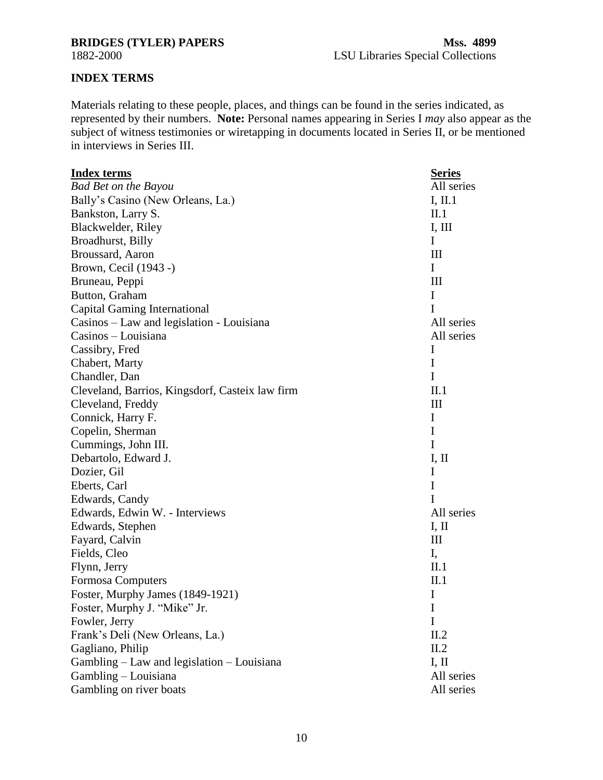## <span id="page-9-0"></span>**BRIDGES (TYLER) PAPERS Mss. 4899**

## **INDEX TERMS**

Materials relating to these people, places, and things can be found in the series indicated, as represented by their numbers. **Note:** Personal names appearing in Series I *may* also appear as the subject of witness testimonies or wiretapping in documents located in Series II, or be mentioned in interviews in Series III.

| <b>Index terms</b>                              | <b>Series</b> |
|-------------------------------------------------|---------------|
| <b>Bad Bet on the Bayou</b>                     | All series    |
| Bally's Casino (New Orleans, La.)               | I, II.1       |
| Bankston, Larry S.                              | II.1          |
| Blackwelder, Riley                              | I, III        |
| Broadhurst, Billy                               | I             |
| Broussard, Aaron                                | Ш             |
| Brown, Cecil (1943 -)                           | I             |
| Bruneau, Peppi                                  | Ш             |
| Button, Graham                                  | I             |
| Capital Gaming International                    | I             |
| Casinos – Law and legislation - Louisiana       | All series    |
| Casinos – Louisiana                             | All series    |
| Cassibry, Fred                                  | I             |
| Chabert, Marty                                  | I             |
| Chandler, Dan                                   | I             |
| Cleveland, Barrios, Kingsdorf, Casteix law firm | II.1          |
| Cleveland, Freddy                               | Ш             |
| Connick, Harry F.                               | I             |
| Copelin, Sherman                                | I             |
| Cummings, John III.                             | I             |
| Debartolo, Edward J.                            | I, II         |
| Dozier, Gil                                     | I             |
| Eberts, Carl                                    | I             |
| Edwards, Candy                                  | I             |
| Edwards, Edwin W. - Interviews                  | All series    |
| Edwards, Stephen                                | I, II         |
| Fayard, Calvin                                  | Ш             |
| Fields, Cleo                                    | I,            |
| Flynn, Jerry                                    | II.1          |
| Formosa Computers                               | II.1          |
| Foster, Murphy James (1849-1921)                | I             |
| Foster, Murphy J. "Mike" Jr.                    | I             |
| Fowler, Jerry                                   | I             |
| Frank's Deli (New Orleans, La.)                 | II.2          |
| Gagliano, Philip                                | II.2          |
| Gambling - Law and legislation - Louisiana      | I, II         |
| Gambling - Louisiana                            | All series    |
| Gambling on river boats                         | All series    |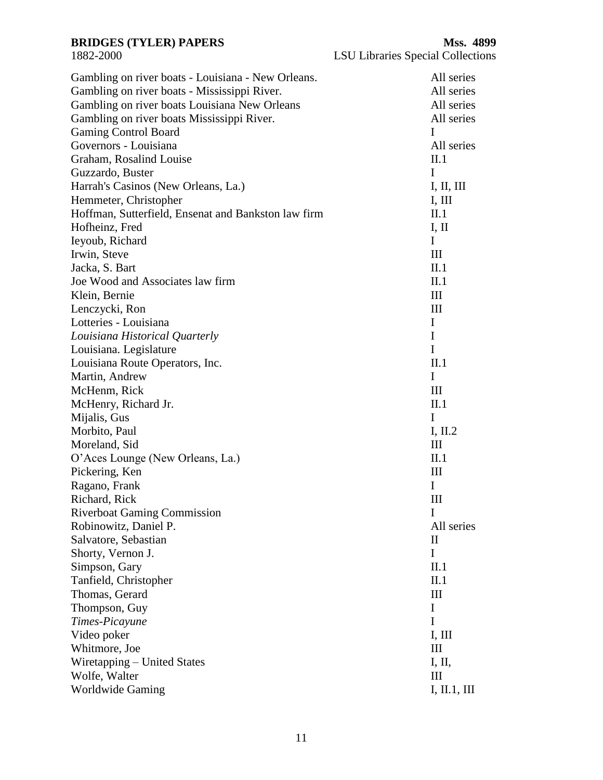| Gambling on river boats - Louisiana - New Orleans.  | All series         |
|-----------------------------------------------------|--------------------|
| Gambling on river boats - Mississippi River.        | All series         |
| Gambling on river boats Louisiana New Orleans       | All series         |
| Gambling on river boats Mississippi River.          | All series         |
| <b>Gaming Control Board</b>                         | I                  |
| Governors - Louisiana                               | All series         |
| Graham, Rosalind Louise                             | II.1               |
| Guzzardo, Buster                                    | I                  |
| Harrah's Casinos (New Orleans, La.)                 | I, II, III         |
| Hemmeter, Christopher                               | I, III             |
| Hoffman, Sutterfield, Ensenat and Bankston law firm | II.1               |
| Hofheinz, Fred                                      | I, II              |
| Ieyoub, Richard                                     | I                  |
| Irwin, Steve                                        | III                |
| Jacka, S. Bart                                      | II.1               |
| Joe Wood and Associates law firm                    | II.1               |
| Klein, Bernie                                       | III                |
| Lenczycki, Ron                                      | $\mathop{\rm III}$ |
| Lotteries - Louisiana                               | $\bf{I}$           |
|                                                     | I                  |
| Louisiana Historical Quarterly                      | $\mathbf I$        |
| Louisiana. Legislature                              |                    |
| Louisiana Route Operators, Inc.                     | II.1               |
| Martin, Andrew                                      | I                  |
| McHenm, Rick                                        | III                |
| McHenry, Richard Jr.                                | II.1               |
| Mijalis, Gus                                        | I                  |
| Morbito, Paul                                       | I, $II.2$          |
| Moreland, Sid                                       | III                |
| O'Aces Lounge (New Orleans, La.)                    | II.1               |
| Pickering, Ken                                      | III                |
| Ragano, Frank                                       | $\mathbf{I}$       |
| Richard, Rick                                       | Ш                  |
| <b>Riverboat Gaming Commission</b>                  | 1                  |
| Robinowitz, Daniel P.                               | All series         |
| Salvatore, Sebastian                                | $\rm _{II}$        |
| Shorty, Vernon J.                                   | I                  |
| Simpson, Gary                                       | II.1               |
| Tanfield, Christopher                               | II.1               |
| Thomas, Gerard                                      | Ш                  |
| Thompson, Guy                                       | I                  |
| Times-Picayune                                      | I                  |
| Video poker                                         | I, III             |
| Whitmore, Joe                                       | Ш                  |
| Wiretapping – United States                         | I, II,             |
| Wolfe, Walter                                       | Ш                  |
| <b>Worldwide Gaming</b>                             | I, II.1, III       |
|                                                     |                    |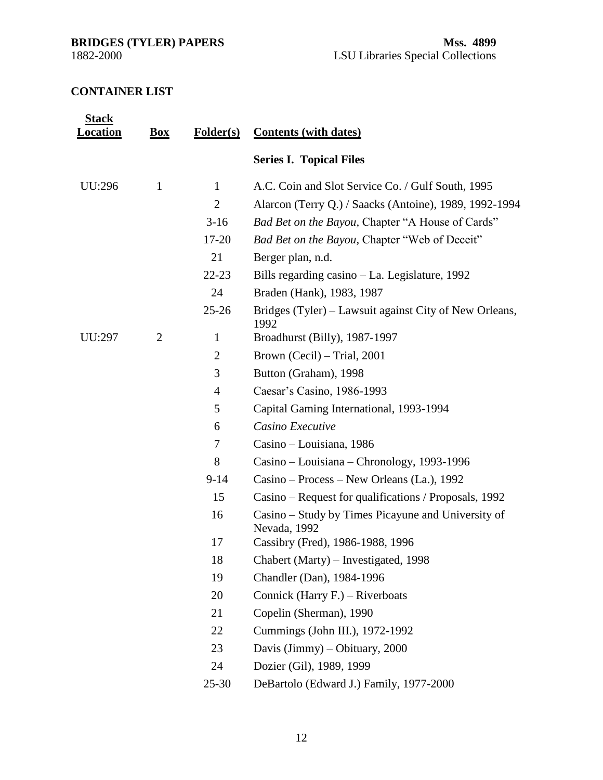<span id="page-11-0"></span>

## **CONTAINER LIST**

| <b>Stack</b><br>Location | $\mathbf{Box}$ | <b>Folder(s)</b> | <b>Contents (with dates)</b>                                       |
|--------------------------|----------------|------------------|--------------------------------------------------------------------|
|                          |                |                  | <b>Series I. Topical Files</b>                                     |
| UU:296                   | $\mathbf{1}$   | $\mathbf{1}$     | A.C. Coin and Slot Service Co. / Gulf South, 1995                  |
|                          |                | $\overline{2}$   | Alarcon (Terry Q.) / Saacks (Antoine), 1989, 1992-1994             |
|                          |                | $3-16$           | Bad Bet on the Bayou, Chapter "A House of Cards"                   |
|                          |                | $17 - 20$        | Bad Bet on the Bayou, Chapter "Web of Deceit"                      |
|                          |                | 21               | Berger plan, n.d.                                                  |
|                          |                | $22 - 23$        | Bills regarding casino – La. Legislature, 1992                     |
|                          |                | 24               | Braden (Hank), 1983, 1987                                          |
|                          |                | $25 - 26$        | Bridges (Tyler) – Lawsuit against City of New Orleans,<br>1992     |
| UU:297                   | $\overline{2}$ | $\mathbf{1}$     | Broadhurst (Billy), 1987-1997                                      |
|                          |                | $\overline{2}$   | Brown (Cecil) – Trial, 2001                                        |
|                          |                | 3                | Button (Graham), 1998                                              |
|                          |                | $\overline{4}$   | Caesar's Casino, 1986-1993                                         |
|                          |                | 5                | Capital Gaming International, 1993-1994                            |
|                          |                | 6                | Casino Executive                                                   |
|                          |                | $\overline{7}$   | Casino – Louisiana, 1986                                           |
|                          |                | 8                | Casino – Louisiana – Chronology, 1993-1996                         |
|                          |                | $9 - 14$         | Casino – Process – New Orleans (La.), 1992                         |
|                          |                | 15               | Casino – Request for qualifications / Proposals, 1992              |
|                          |                | 16               | Casino – Study by Times Picayune and University of<br>Nevada, 1992 |
|                          |                | 17               | Cassibry (Fred), 1986-1988, 1996                                   |
|                          |                | 18               | Chabert (Marty) – Investigated, 1998                               |
|                          |                | 19               | Chandler (Dan), 1984-1996                                          |
|                          |                | 20               | Connick (Harry F.) – Riverboats                                    |
|                          |                | 21               | Copelin (Sherman), 1990                                            |
|                          |                | 22               | Cummings (John III.), 1972-1992                                    |
|                          |                | 23               | Davis $\text{ (Jimmy)} - \text{Obituary}, 2000$                    |
|                          |                | 24               | Dozier (Gil), 1989, 1999                                           |
|                          |                | $25 - 30$        | DeBartolo (Edward J.) Family, 1977-2000                            |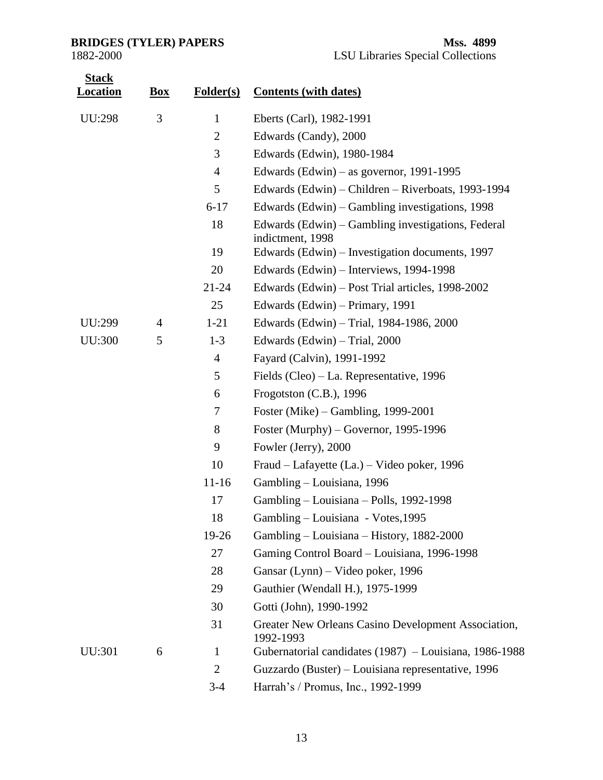| <b>Stack</b><br><b>Location</b> | <b>Box</b> | <b>Folder(s)</b> | <b>Contents (with dates)</b>                                           |
|---------------------------------|------------|------------------|------------------------------------------------------------------------|
| <b>UU:298</b>                   | 3          | $\mathbf{1}$     | Eberts (Carl), 1982-1991                                               |
|                                 |            | $\overline{2}$   | Edwards (Candy), 2000                                                  |
|                                 |            | 3                | Edwards (Edwin), 1980-1984                                             |
|                                 |            | $\overline{4}$   | Edwards (Edwin) – as governor, $1991-1995$                             |
|                                 |            | 5                | Edwards (Edwin) – Children – Riverboats, 1993-1994                     |
|                                 |            | $6 - 17$         | Edwards (Edwin) – Gambling investigations, 1998                        |
|                                 |            | 18               | Edwards (Edwin) – Gambling investigations, Federal<br>indictment, 1998 |
|                                 |            | 19               | Edwards (Edwin) – Investigation documents, 1997                        |
|                                 |            | 20               | Edwards (Edwin) – Interviews, 1994-1998                                |
|                                 |            | $21 - 24$        | Edwards (Edwin) – Post Trial articles, 1998-2002                       |
|                                 |            | 25               | Edwards (Edwin) – Primary, 1991                                        |
| UU:299                          | 4          | $1 - 21$         | Edwards (Edwin) - Trial, 1984-1986, 2000                               |
| <b>UU:300</b>                   | 5          | $1 - 3$          | Edwards (Edwin) – Trial, 2000                                          |
|                                 |            | $\overline{4}$   | Fayard (Calvin), 1991-1992                                             |
|                                 |            | 5                | Fields (Cleo) – La. Representative, 1996                               |
|                                 |            | 6                | Frogotston $(C.B.)$ , 1996                                             |
|                                 |            | 7                | Foster (Mike) – Gambling, 1999-2001                                    |
|                                 |            | 8                | Foster (Murphy) – Governor, 1995-1996                                  |
|                                 |            | 9                | Fowler (Jerry), 2000                                                   |
|                                 |            | 10               | Fraud - Lafayette (La.) - Video poker, 1996                            |
|                                 |            | $11 - 16$        | Gambling - Louisiana, 1996                                             |
|                                 |            | 17               | Gambling – Louisiana – Polls, 1992-1998                                |
|                                 |            | 18               | Gambling - Louisiana - Votes, 1995                                     |
|                                 |            | 19-26            | Gambling – Louisiana – History, 1882-2000                              |
|                                 |            | 27               | Gaming Control Board - Louisiana, 1996-1998                            |
|                                 |            | 28               | Gansar (Lynn) – Video poker, 1996                                      |
|                                 |            | 29               | Gauthier (Wendall H.), 1975-1999                                       |
|                                 |            | 30               | Gotti (John), 1990-1992                                                |
|                                 |            | 31               | Greater New Orleans Casino Development Association,<br>1992-1993       |
| UU:301                          | 6          | $\mathbf{1}$     | Gubernatorial candidates (1987) – Louisiana, 1986-1988                 |
|                                 |            | $\overline{2}$   | Guzzardo (Buster) – Louisiana representative, 1996                     |
|                                 |            | $3 - 4$          | Harrah's / Promus, Inc., 1992-1999                                     |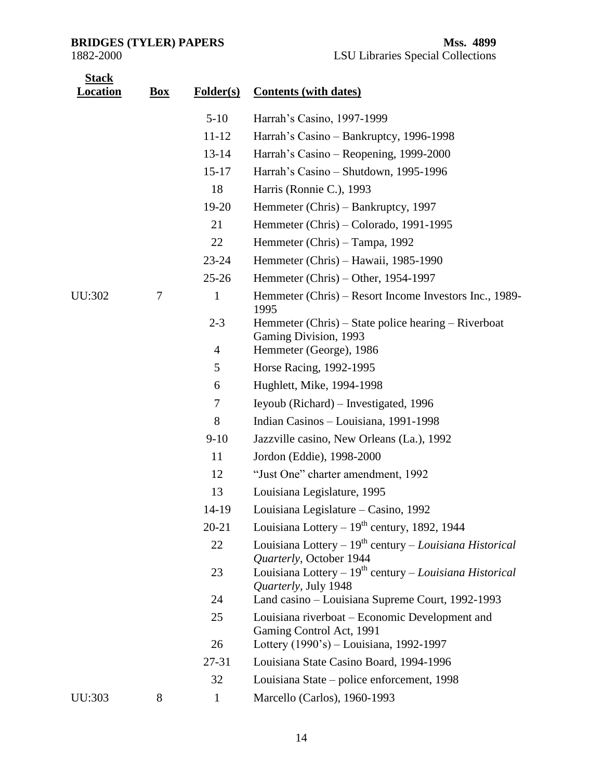| <b>Stack</b><br><b>Location</b> | <b>Box</b> | Folder(s)      | <b>Contents (with dates)</b>                                                                |
|---------------------------------|------------|----------------|---------------------------------------------------------------------------------------------|
|                                 |            | $5-10$         | Harrah's Casino, 1997-1999                                                                  |
|                                 |            | $11 - 12$      | Harrah's Casino - Bankruptcy, 1996-1998                                                     |
|                                 |            | $13 - 14$      | Harrah's Casino – Reopening, 1999-2000                                                      |
|                                 |            | $15 - 17$      | Harrah's Casino - Shutdown, 1995-1996                                                       |
|                                 |            | 18             | Harris (Ronnie C.), 1993                                                                    |
|                                 |            | 19-20          | Hemmeter (Chris) – Bankruptcy, 1997                                                         |
|                                 |            | 21             | Hemmeter (Chris) – Colorado, 1991-1995                                                      |
|                                 |            | 22             | Hemmeter (Chris) – Tampa, 1992                                                              |
|                                 |            | $23 - 24$      | Hemmeter (Chris) – Hawaii, 1985-1990                                                        |
|                                 |            | $25 - 26$      | Hemmeter (Chris) – Other, 1954-1997                                                         |
| UU:302                          | 7          | $\mathbf{1}$   | Hemmeter (Chris) – Resort Income Investors Inc., 1989-<br>1995                              |
|                                 |            | $2 - 3$        | Hemmeter (Chris) – State police hearing – Riverboat<br>Gaming Division, 1993                |
|                                 |            | $\overline{4}$ | Hemmeter (George), 1986                                                                     |
|                                 |            | 5              | Horse Racing, 1992-1995                                                                     |
|                                 |            | 6              | Hughlett, Mike, 1994-1998                                                                   |
|                                 |            | $\tau$         | Ieyoub (Richard) – Investigated, 1996                                                       |
|                                 |            | 8              | Indian Casinos - Louisiana, 1991-1998                                                       |
|                                 |            | $9-10$         | Jazzville casino, New Orleans (La.), 1992                                                   |
|                                 |            | 11             | Jordon (Eddie), 1998-2000                                                                   |
|                                 |            | 12             | "Just One" charter amendment, 1992                                                          |
|                                 |            | 13             | Louisiana Legislature, 1995                                                                 |
|                                 |            | 14-19          | Louisiana Legislature - Casino, 1992                                                        |
|                                 |            | $20 - 21$      | Louisiana Lottery - $19th$ century, 1892, 1944                                              |
|                                 |            | 22             | Louisiana Lottery – $19^{th}$ century – Louisiana Historical<br>Quarterly, October 1944     |
|                                 |            | 23             | Louisiana Lottery - 19 <sup>th</sup> century - Louisiana Historical<br>Quarterly, July 1948 |
|                                 |            | 24             | Land casino – Louisiana Supreme Court, 1992-1993                                            |
|                                 |            | 25             | Louisiana riverboat – Economic Development and<br>Gaming Control Act, 1991                  |
|                                 |            | 26             | Lottery (1990's) – Louisiana, 1992-1997                                                     |
|                                 |            | 27-31          | Louisiana State Casino Board, 1994-1996                                                     |
|                                 |            | 32             | Louisiana State – police enforcement, 1998                                                  |
| UU:303                          | 8          | $\mathbf{1}$   | Marcello (Carlos), 1960-1993                                                                |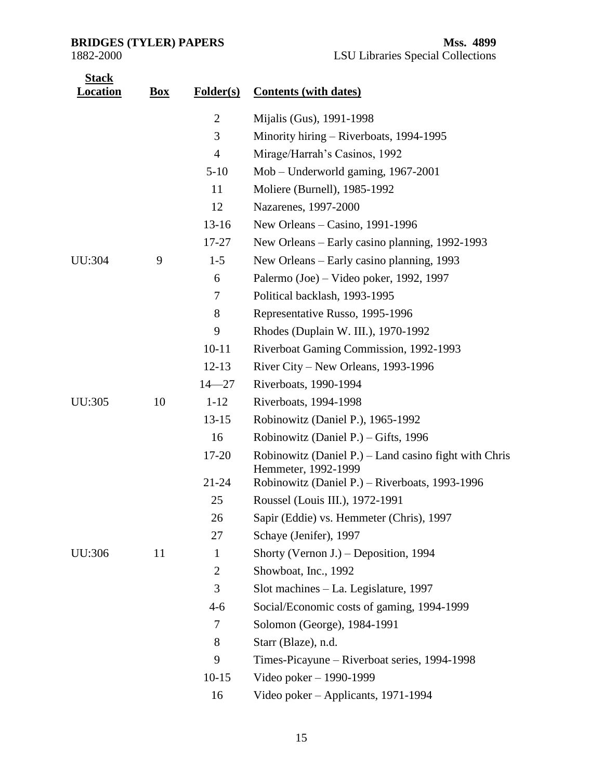| <u>Stack</u><br><u>ocation.</u> | <b>Box</b> | <b>Folder(s)</b> | <b>Contents (with dates)</b>                                                   |
|---------------------------------|------------|------------------|--------------------------------------------------------------------------------|
|                                 |            | $\overline{2}$   | Mijalis (Gus), 1991-1998                                                       |
|                                 |            | 3                | Minority hiring – Riverboats, 1994-1995                                        |
|                                 |            | $\overline{4}$   | Mirage/Harrah's Casinos, 1992                                                  |
|                                 |            | $5-10$           | Mob – Underworld gaming, 1967-2001                                             |
|                                 |            | 11               | Moliere (Burnell), 1985-1992                                                   |
|                                 |            | 12               | Nazarenes, 1997-2000                                                           |
|                                 |            | $13-16$          | New Orleans - Casino, 1991-1996                                                |
|                                 |            | $17 - 27$        | New Orleans – Early casino planning, 1992-1993                                 |
| <b>UU:304</b>                   | 9          | $1 - 5$          | New Orleans – Early casino planning, 1993                                      |
|                                 |            | 6                | Palermo (Joe) – Video poker, 1992, 1997                                        |
|                                 |            | $\tau$           | Political backlash, 1993-1995                                                  |
|                                 |            | 8                | Representative Russo, 1995-1996                                                |
|                                 |            | 9                | Rhodes (Duplain W. III.), 1970-1992                                            |
|                                 |            | $10 - 11$        | Riverboat Gaming Commission, 1992-1993                                         |
|                                 |            | $12-13$          | River City – New Orleans, $1993-1996$                                          |
|                                 |            | $14 - 27$        | Riverboats, 1990-1994                                                          |
| UU:305                          | 10         | $1 - 12$         | Riverboats, 1994-1998                                                          |
|                                 |            | $13 - 15$        | Robinowitz (Daniel P.), 1965-1992                                              |
|                                 |            | 16               | Robinowitz (Daniel P.) – Gifts, 1996                                           |
|                                 |            | $17 - 20$        | Robinowitz (Daniel P.) $-$ Land casino fight with Chris<br>Hemmeter, 1992-1999 |
|                                 |            | $21 - 24$        | Robinowitz (Daniel P.) - Riverboats, 1993-1996                                 |
|                                 |            | 25               | Roussel (Louis III.), 1972-1991                                                |
|                                 |            | 26               | Sapir (Eddie) vs. Hemmeter (Chris), 1997                                       |
|                                 |            | 27               | Schaye (Jenifer), 1997                                                         |
| UU:306                          | 11         | $\mathbf{1}$     | Shorty (Vernon J.) – Deposition, 1994                                          |
|                                 |            | $\overline{2}$   | Showboat, Inc., 1992                                                           |
|                                 |            | 3                | Slot machines - La. Legislature, 1997                                          |
|                                 |            | $4 - 6$          | Social/Economic costs of gaming, 1994-1999                                     |
|                                 |            | 7                | Solomon (George), 1984-1991                                                    |
|                                 |            | 8                | Starr (Blaze), n.d.                                                            |
|                                 |            | 9                | Times-Picayune – Riverboat series, 1994-1998                                   |
|                                 |            | $10-15$          | Video poker - 1990-1999                                                        |
|                                 |            | 16               | Video poker – Applicants, 1971-1994                                            |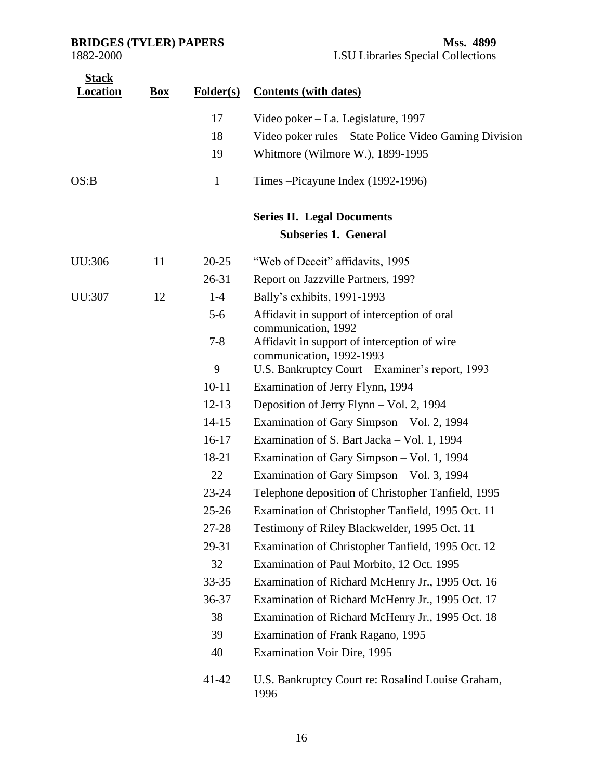| <b>Stack</b><br><u>Location</u> | <b>Box</b> | Folder(s)    | <b>Contents (with dates)</b>                                                                    |
|---------------------------------|------------|--------------|-------------------------------------------------------------------------------------------------|
|                                 |            | 17           | Video poker – La. Legislature, 1997                                                             |
|                                 |            | 18           | Video poker rules – State Police Video Gaming Division                                          |
|                                 |            | 19           | Whitmore (Wilmore W.), 1899-1995                                                                |
| OS:B                            |            | $\mathbf{1}$ | Times – Picayune Index (1992-1996)                                                              |
|                                 |            |              | <b>Series II. Legal Documents</b>                                                               |
|                                 |            |              | <b>Subseries 1. General</b>                                                                     |
| UU:306                          | 11         | $20 - 25$    | "Web of Deceit" affidavits, 1995                                                                |
|                                 |            | 26-31        | Report on Jazzville Partners, 199?                                                              |
| UU:307                          | 12         | $1-4$        | Bally's exhibits, 1991-1993                                                                     |
|                                 |            | $5 - 6$      | Affidavit in support of interception of oral                                                    |
|                                 |            | $7 - 8$      | communication, 1992<br>Affidavit in support of interception of wire<br>communication, 1992-1993 |
|                                 |            | 9            | U.S. Bankruptcy Court – Examiner's report, 1993                                                 |
|                                 |            | $10 - 11$    | Examination of Jerry Flynn, 1994                                                                |
|                                 |            | $12 - 13$    | Deposition of Jerry Flynn – Vol. 2, 1994                                                        |
|                                 |            | $14 - 15$    | Examination of Gary Simpson – Vol. 2, 1994                                                      |
|                                 |            | $16-17$      | Examination of S. Bart Jacka – Vol. 1, 1994                                                     |
|                                 |            | 18-21        | Examination of Gary Simpson – Vol. 1, 1994                                                      |
|                                 |            | 22           | Examination of Gary Simpson – Vol. 3, 1994                                                      |
|                                 |            | $23 - 24$    | Telephone deposition of Christopher Tanfield, 1995                                              |
|                                 |            | $25 - 26$    | Examination of Christopher Tanfield, 1995 Oct. 11                                               |
|                                 |            | $27 - 28$    | Testimony of Riley Blackwelder, 1995 Oct. 11                                                    |
|                                 |            | 29-31        | Examination of Christopher Tanfield, 1995 Oct. 12                                               |
|                                 |            | 32           | Examination of Paul Morbito, 12 Oct. 1995                                                       |
|                                 |            | $33 - 35$    | Examination of Richard McHenry Jr., 1995 Oct. 16                                                |
|                                 |            | 36-37        | Examination of Richard McHenry Jr., 1995 Oct. 17                                                |
|                                 |            | 38           | Examination of Richard McHenry Jr., 1995 Oct. 18                                                |
|                                 |            | 39           | Examination of Frank Ragano, 1995                                                               |
|                                 |            | 40           | <b>Examination Voir Dire, 1995</b>                                                              |
|                                 |            | $41 - 42$    | U.S. Bankruptcy Court re: Rosalind Louise Graham,<br>1996                                       |